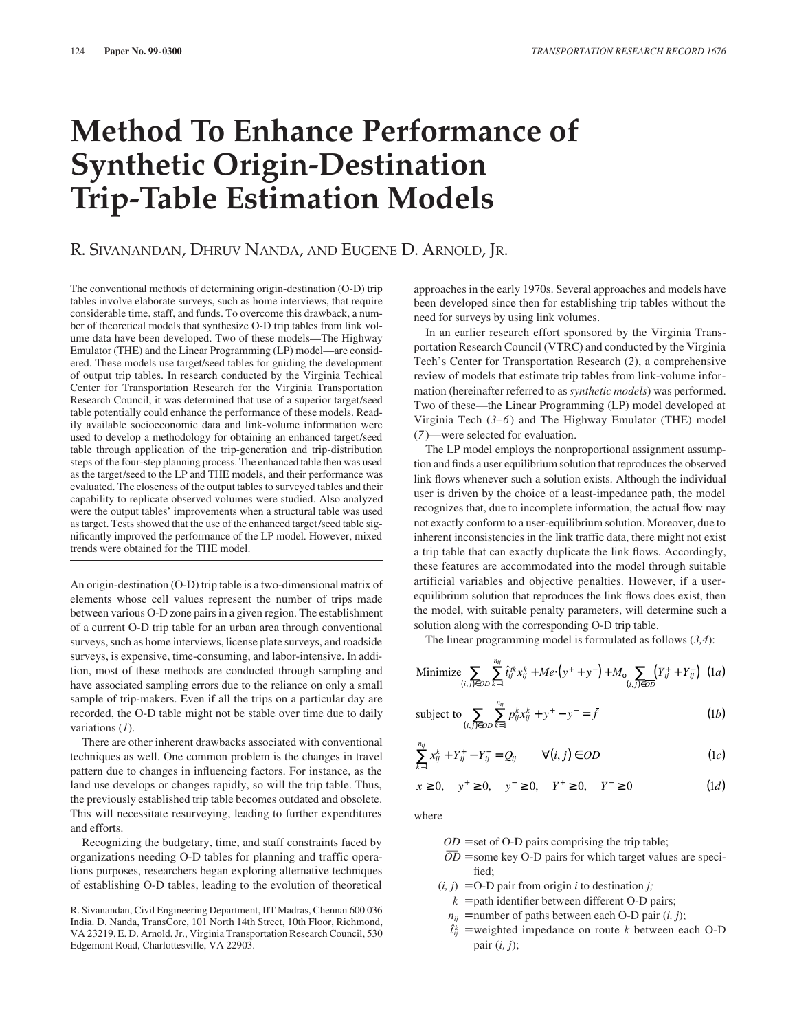# **Method To Enhance Performance of Synthetic Origin-Destination Trip-Table Estimation Models**

# R. SIVANANDAN, DHRUV NANDA, AND EUGENE D. ARNOLD, JR.

The conventional methods of determining origin-destination (O-D) trip tables involve elaborate surveys, such as home interviews, that require considerable time, staff, and funds. To overcome this drawback, a number of theoretical models that synthesize O-D trip tables from link volume data have been developed. Two of these models—The Highway Emulator (THE) and the Linear Programming (LP) model—are considered. These models use target/seed tables for guiding the development of output trip tables. In research conducted by the Virginia Techical Center for Transportation Research for the Virginia Transportation Research Council, it was determined that use of a superior target/seed table potentially could enhance the performance of these models. Readily available socioeconomic data and link-volume information were used to develop a methodology for obtaining an enhanced target/seed table through application of the trip-generation and trip-distribution steps of the four-step planning process. The enhanced table then was used as the target/seed to the LP and THE models, and their performance was evaluated. The closeness of the output tables to surveyed tables and their capability to replicate observed volumes were studied. Also analyzed were the output tables' improvements when a structural table was used as target. Tests showed that the use of the enhanced target/seed table significantly improved the performance of the LP model. However, mixed trends were obtained for the THE model.

An origin-destination (O-D) trip table is a two-dimensional matrix of elements whose cell values represent the number of trips made between various O-D zone pairs in a given region. The establishment of a current O-D trip table for an urban area through conventional surveys, such as home interviews, license plate surveys, and roadside surveys, is expensive, time-consuming, and labor-intensive. In addition, most of these methods are conducted through sampling and have associated sampling errors due to the reliance on only a small sample of trip-makers. Even if all the trips on a particular day are recorded, the O-D table might not be stable over time due to daily variations (*1*).

There are other inherent drawbacks associated with conventional techniques as well. One common problem is the changes in travel pattern due to changes in influencing factors. For instance, as the land use develops or changes rapidly, so will the trip table. Thus, the previously established trip table becomes outdated and obsolete. This will necessitate resurveying, leading to further expenditures and efforts.

Recognizing the budgetary, time, and staff constraints faced by organizations needing O-D tables for planning and traffic operations purposes, researchers began exploring alternative techniques of establishing O-D tables, leading to the evolution of theoretical approaches in the early 1970s. Several approaches and models have been developed since then for establishing trip tables without the need for surveys by using link volumes.

In an earlier research effort sponsored by the Virginia Transportation Research Council (VTRC) and conducted by the Virginia Tech's Center for Transportation Research (*2*), a comprehensive review of models that estimate trip tables from link-volume information (hereinafter referred to as *synthetic models*) was performed. Two of these—the Linear Programming (LP) model developed at Virginia Tech (*3–6*) and The Highway Emulator (THE) model (*7* )—were selected for evaluation.

The LP model employs the nonproportional assignment assumption and finds a user equilibrium solution that reproduces the observed link flows whenever such a solution exists. Although the individual user is driven by the choice of a least-impedance path, the model recognizes that, due to incomplete information, the actual flow may not exactly conform to a user-equilibrium solution. Moreover, due to inherent inconsistencies in the link traffic data, there might not exist a trip table that can exactly duplicate the link flows. Accordingly, these features are accommodated into the model through suitable artificial variables and objective penalties. However, if a userequilibrium solution that reproduces the link flows does exist, then the model, with suitable penalty parameters, will determine such a solution along with the corresponding O-D trip table.

The linear programming model is formulated as follows (*3,4*):

Minimize 
$$
\sum_{(i,j)\in OD} \sum_{k=1}^{n_{ij}} \hat{t}_{ij}^{ik} x_{ij}^k + Me \cdot (y^+ + y^-) + M_{\sigma} \sum_{(i,j)\in OD} (Y_{ij}^+ + Y_{ij}^-)
$$
 (1*a*)

subject to 
$$
\sum_{(i,j)\in OD} \sum_{k=1}^{n_{ij}} p_{ij}^k x_{ij}^k + y^+ - y^- = \bar{f}
$$
 (1b)

$$
\sum_{k=1}^{n_{ij}} x_{ij}^k + Y_{ij}^* - Y_{ij}^- = Q_{ij} \qquad \forall (i, j) \in \overline{OD} \qquad (1c)
$$

$$
x \ge 0, \quad y^+ \ge 0, \quad y^- \ge 0, \quad Y^+ \ge 0, \quad Y^- \ge 0 \tag{1d}
$$

where

- $OD = set of O-D$  pairs comprising the trip table;
- $\overline{OD}$  = some key O-D pairs for which target values are specified;
- $(i, j) = O-D$  pair from origin *i* to destination *j*;
	- $k =$  path identifier between different O-D pairs;
- $n_{ij}$  = number of paths between each O-D pair (*i, j*);
- $\hat{t}_{ij}^k$  = weighted impedance on route *k* between each O-D pair (*i, j*);

R. Sivanandan, Civil Engineering Department, IIT Madras, Chennai 600 036 India. D. Nanda, TransCore, 101 North 14th Street, 10th Floor, Richmond, VA 23219. E. D. Arnold, Jr., Virginia Transportation Research Council, 530 Edgemont Road, Charlottesville, VA 22903.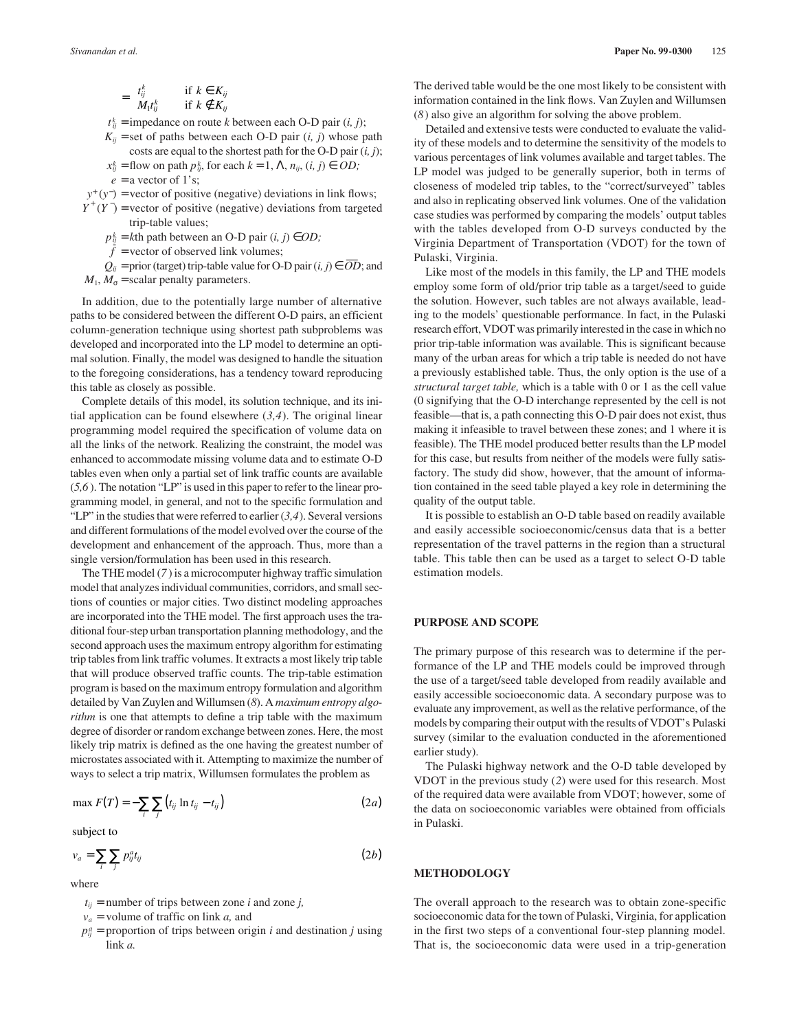=

$$
\begin{cases} t_{ij}^k & \text{if } k \in K_{ij} \\ M_1 t_{ij}^k & \text{if } k \notin K_{ij} \end{cases}
$$

 $t_{ij}^k$  = impedance on route *k* between each O-D pair  $(i, j)$ ;

 $K_{ii}$  = set of paths between each O-D pair  $(i, j)$  whose path costs are equal to the shortest path for the O-D pair (*i, j*);

 $x_{ij}^k$  = flow on path  $p_{ij}^k$ , for each  $k = 1, \Lambda, n_{ij}, (i, j) \in OD;$ 

 $e = a$  vector of 1's;

 $y^+(y^-)$  = vector of positive (negative) deviations in link flows;  $Y^+(Y^-)$  = vector of positive (negative) deviations from targeted

trip-table values;

 $p_{ij}^k$  = *k*th path between an O-D pair  $(i, j) \in OD$ ;

 $f = \text{vector of observed link volumes};$ 

 $Q_{ii}$  = prior (target) trip-table value for O-D pair  $(i, j) \in \overline{OD}$ ; and  $M_1$ ,  $M_{\sigma}$  = scalar penalty parameters.

In addition, due to the potentially large number of alternative paths to be considered between the different O-D pairs, an efficient column-generation technique using shortest path subproblems was developed and incorporated into the LP model to determine an optimal solution. Finally, the model was designed to handle the situation to the foregoing considerations, has a tendency toward reproducing this table as closely as possible.

Complete details of this model, its solution technique, and its initial application can be found elsewhere (*3,4*). The original linear programming model required the specification of volume data on all the links of the network. Realizing the constraint, the model was enhanced to accommodate missing volume data and to estimate O-D tables even when only a partial set of link traffic counts are available (*5,6* ). The notation "LP" is used in this paper to refer to the linear programming model, in general, and not to the specific formulation and "LP" in the studies that were referred to earlier (*3,4*). Several versions and different formulations of the model evolved over the course of the development and enhancement of the approach. Thus, more than a single version/formulation has been used in this research.

The THE model (*7* ) is a microcomputer highway traffic simulation model that analyzes individual communities, corridors, and small sections of counties or major cities. Two distinct modeling approaches are incorporated into the THE model. The first approach uses the traditional four-step urban transportation planning methodology, and the second approach uses the maximum entropy algorithm for estimating trip tables from link traffic volumes. It extracts a most likely trip table that will produce observed traffic counts. The trip-table estimation program is based on the maximum entropy formulation and algorithm detailed by Van Zuylen and Willumsen (*8*). A *maximum entropy algorithm* is one that attempts to define a trip table with the maximum degree of disorder or random exchange between zones. Here, the most likely trip matrix is defined as the one having the greatest number of microstates associated with it. Attempting to maximize the number of ways to select a trip matrix, Willumsen formulates the problem as

$$
\max F(T) = -\sum_{i} \sum_{j} \left( t_{ij} \ln t_{ij} - t_{ij} \right) \tag{2a}
$$

subject to

$$
v_a = \sum_i \sum_j p_{ij}^a t_{ij} \tag{2b}
$$

where

 $t_{ij}$  = number of trips between zone *i* and zone *j*,

- *v<sup>a</sup>* = volume of traffic on link *a,* and
- $p_{ij}^a$  = proportion of trips between origin *i* and destination *j* using link *a.*

The derived table would be the one most likely to be consistent with information contained in the link flows. Van Zuylen and Willumsen (*8*) also give an algorithm for solving the above problem.

Detailed and extensive tests were conducted to evaluate the validity of these models and to determine the sensitivity of the models to various percentages of link volumes available and target tables. The LP model was judged to be generally superior, both in terms of closeness of modeled trip tables, to the "correct/surveyed" tables and also in replicating observed link volumes. One of the validation case studies was performed by comparing the models' output tables with the tables developed from O-D surveys conducted by the Virginia Department of Transportation (VDOT) for the town of Pulaski, Virginia.

Like most of the models in this family, the LP and THE models employ some form of old/prior trip table as a target/seed to guide the solution. However, such tables are not always available, leading to the models' questionable performance. In fact, in the Pulaski research effort, VDOT was primarily interested in the case in which no prior trip-table information was available. This is significant because many of the urban areas for which a trip table is needed do not have a previously established table. Thus, the only option is the use of a *structural target table,* which is a table with 0 or 1 as the cell value (0 signifying that the O-D interchange represented by the cell is not feasible—that is, a path connecting this O-D pair does not exist, thus making it infeasible to travel between these zones; and 1 where it is feasible). The THE model produced better results than the LP model for this case, but results from neither of the models were fully satisfactory. The study did show, however, that the amount of information contained in the seed table played a key role in determining the quality of the output table.

It is possible to establish an O-D table based on readily available and easily accessible socioeconomic/census data that is a better representation of the travel patterns in the region than a structural table. This table then can be used as a target to select O-D table estimation models.

# **PURPOSE AND SCOPE**

The primary purpose of this research was to determine if the performance of the LP and THE models could be improved through the use of a target/seed table developed from readily available and easily accessible socioeconomic data. A secondary purpose was to evaluate any improvement, as well as the relative performance, of the models by comparing their output with the results of VDOT's Pulaski survey (similar to the evaluation conducted in the aforementioned earlier study).

The Pulaski highway network and the O-D table developed by VDOT in the previous study (*2*) were used for this research. Most of the required data were available from VDOT; however, some of the data on socioeconomic variables were obtained from officials in Pulaski.

#### **METHODOLOGY**

The overall approach to the research was to obtain zone-specific socioeconomic data for the town of Pulaski, Virginia, for application in the first two steps of a conventional four-step planning model. That is, the socioeconomic data were used in a trip-generation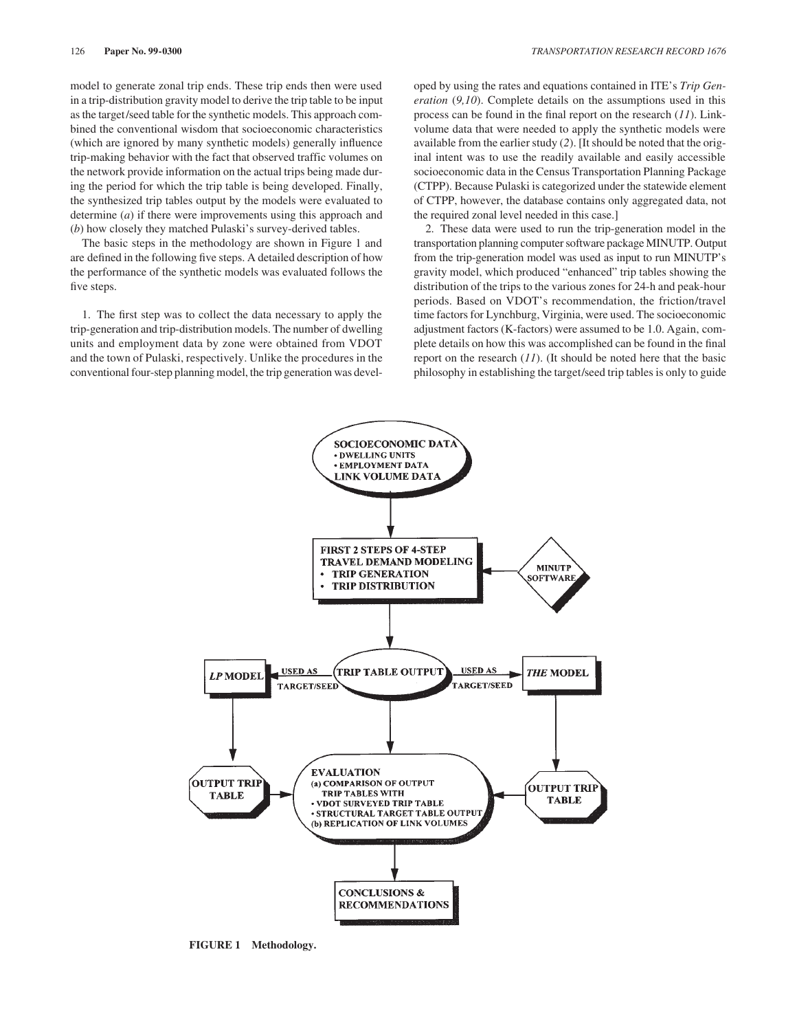model to generate zonal trip ends. These trip ends then were used in a trip-distribution gravity model to derive the trip table to be input as the target/seed table for the synthetic models. This approach combined the conventional wisdom that socioeconomic characteristics (which are ignored by many synthetic models) generally influence trip-making behavior with the fact that observed traffic volumes on the network provide information on the actual trips being made during the period for which the trip table is being developed. Finally, the synthesized trip tables output by the models were evaluated to determine (*a*) if there were improvements using this approach and (*b*) how closely they matched Pulaski's survey-derived tables.

The basic steps in the methodology are shown in Figure 1 and are defined in the following five steps. A detailed description of how the performance of the synthetic models was evaluated follows the five steps.

1. The first step was to collect the data necessary to apply the trip-generation and trip-distribution models. The number of dwelling units and employment data by zone were obtained from VDOT and the town of Pulaski, respectively. Unlike the procedures in the conventional four-step planning model, the trip generation was devel-

oped by using the rates and equations contained in ITE's *Trip Generation* (*9,10*). Complete details on the assumptions used in this process can be found in the final report on the research (*11*). Linkvolume data that were needed to apply the synthetic models were available from the earlier study (*2*). [It should be noted that the original intent was to use the readily available and easily accessible socioeconomic data in the Census Transportation Planning Package (CTPP). Because Pulaski is categorized under the statewide element of CTPP, however, the database contains only aggregated data, not the required zonal level needed in this case.]

2. These data were used to run the trip-generation model in the transportation planning computer software package MINUTP. Output from the trip-generation model was used as input to run MINUTP's gravity model, which produced "enhanced" trip tables showing the distribution of the trips to the various zones for 24-h and peak-hour periods. Based on VDOT's recommendation, the friction/travel time factors for Lynchburg, Virginia, were used. The socioeconomic adjustment factors (K-factors) were assumed to be 1.0. Again, complete details on how this was accomplished can be found in the final report on the research (*11*). (It should be noted here that the basic philosophy in establishing the target/seed trip tables is only to guide



**FIGURE 1 Methodology.**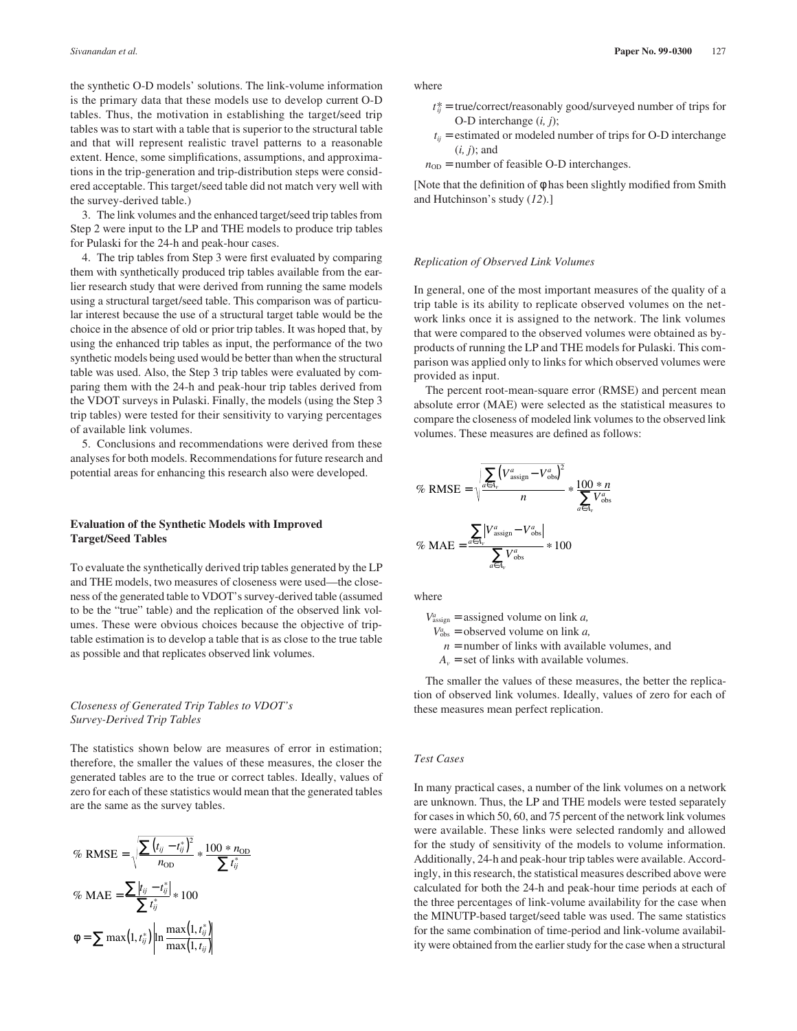the synthetic O-D models' solutions. The link-volume information is the primary data that these models use to develop current O-D tables. Thus, the motivation in establishing the target/seed trip tables was to start with a table that is superior to the structural table and that will represent realistic travel patterns to a reasonable extent. Hence, some simplifications, assumptions, and approximations in the trip-generation and trip-distribution steps were considered acceptable. This target/seed table did not match very well with the survey-derived table.)

3. The link volumes and the enhanced target/seed trip tables from Step 2 were input to the LP and THE models to produce trip tables for Pulaski for the 24-h and peak-hour cases.

4. The trip tables from Step 3 were first evaluated by comparing them with synthetically produced trip tables available from the earlier research study that were derived from running the same models using a structural target/seed table. This comparison was of particular interest because the use of a structural target table would be the choice in the absence of old or prior trip tables. It was hoped that, by using the enhanced trip tables as input, the performance of the two synthetic models being used would be better than when the structural table was used. Also, the Step 3 trip tables were evaluated by comparing them with the 24-h and peak-hour trip tables derived from the VDOT surveys in Pulaski. Finally, the models (using the Step 3 trip tables) were tested for their sensitivity to varying percentages of available link volumes.

5. Conclusions and recommendations were derived from these analyses for both models. Recommendations for future research and potential areas for enhancing this research also were developed.

### **Evaluation of the Synthetic Models with Improved Target/Seed Tables**

To evaluate the synthetically derived trip tables generated by the LP and THE models, two measures of closeness were used—the closeness of the generated table to VDOT's survey-derived table (assumed to be the "true" table) and the replication of the observed link volumes. These were obvious choices because the objective of triptable estimation is to develop a table that is as close to the true table as possible and that replicates observed link volumes.

# *Closeness of Generated Trip Tables to VDOT's Survey-Derived Trip Tables*

The statistics shown below are measures of error in estimation; therefore, the smaller the values of these measures, the closer the generated tables are to the true or correct tables. Ideally, values of zero for each of these statistics would mean that the generated tables are the same as the survey tables.

$$
\% \text{ RMSE} = \sqrt{\frac{\sum (t_{ij} - t_{ij}^*)^2}{n_{\text{OD}}} * \frac{100 * n_{\text{OD}}}{\sum t_{ij}^*}}
$$

$$
\% \text{ MAE} = \frac{\sum |t_{ij} - t_{ij}^*|}{\sum t_{ij}^*} * 100
$$

$$
\phi = \sum \max(1, t_{ij}^*) \left| \ln \frac{\max(1, t_{ij}^*)}{\max(1, t_{ij})} \right|
$$

where

- $t_{ii}^{*}$  = true/correct/reasonably good/surveyed number of trips for O-D interchange (*i, j*);
- $t_{ij}$  = estimated or modeled number of trips for O-D interchange (*i, j*); and
- $n_{OD}$  = number of feasible O-D interchanges.

[Note that the definition of φ has been slightly modified from Smith and Hutchinson's study (*12*).]

#### *Replication of Observed Link Volumes*

In general, one of the most important measures of the quality of a trip table is its ability to replicate observed volumes on the network links once it is assigned to the network. The link volumes that were compared to the observed volumes were obtained as byproducts of running the LP and THE models for Pulaski. This comparison was applied only to links for which observed volumes were provided as input.

The percent root-mean-square error (RMSE) and percent mean absolute error (MAE) were selected as the statistical measures to compare the closeness of modeled link volumes to the observed link volumes. These measures are defined as follows:

$$
\% \text{ RMSE} = \sqrt{\frac{\sum_{a \in A_v} (V_{\text{assign}}^a - V_{\text{obs}}^a)^2}{n}} * \frac{100 * n}{\sum_{a \in A_v} V_{\text{obs}}^a}
$$

$$
\% \text{ MAE} = \frac{\sum_{a \in A_v} |V_{\text{assign}}^a - V_{\text{obs}}^a|}{\sum_{a \in A_v} V_{\text{obs}}^a} * 100
$$

where

 $V_{\text{assign}}^a$  = assigned volume on link *a*,

 $V_{obs}^a$  = observed volume on link *a*,

 $n =$  number of links with available volumes, and

 $A<sub>v</sub>$  = set of links with available volumes.

The smaller the values of these measures, the better the replication of observed link volumes. Ideally, values of zero for each of these measures mean perfect replication.

#### *Test Cases*

In many practical cases, a number of the link volumes on a network are unknown. Thus, the LP and THE models were tested separately for cases in which 50, 60, and 75 percent of the network link volumes were available. These links were selected randomly and allowed for the study of sensitivity of the models to volume information. Additionally, 24-h and peak-hour trip tables were available. Accordingly, in this research, the statistical measures described above were calculated for both the 24-h and peak-hour time periods at each of the three percentages of link-volume availability for the case when the MINUTP-based target/seed table was used. The same statistics for the same combination of time-period and link-volume availability were obtained from the earlier study for the case when a structural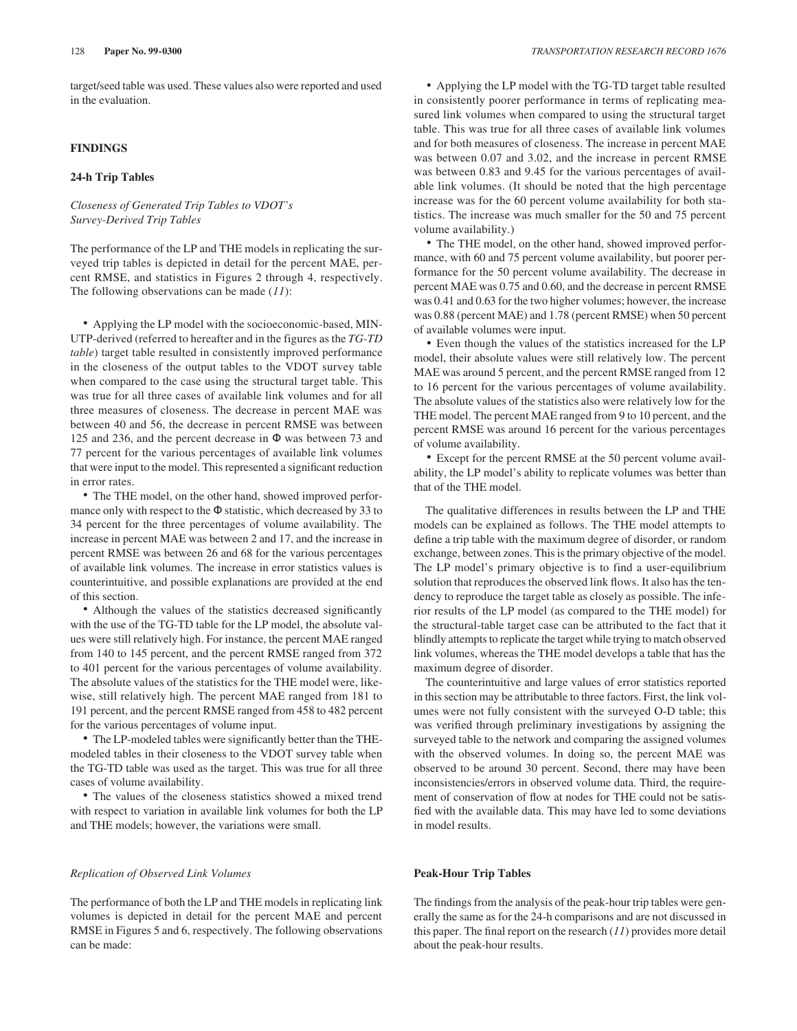target/seed table was used. These values also were reported and used in the evaluation.

# **FINDINGS**

#### **24-h Trip Tables**

# *Closeness of Generated Trip Tables to VDOT's Survey-Derived Trip Tables*

The performance of the LP and THE models in replicating the surveyed trip tables is depicted in detail for the percent MAE, percent RMSE, and statistics in Figures 2 through 4, respectively. The following observations can be made (*11*):

• Applying the LP model with the socioeconomic-based, MIN-UTP-derived (referred to hereafter and in the figures as the *TG-TD table*) target table resulted in consistently improved performance in the closeness of the output tables to the VDOT survey table when compared to the case using the structural target table. This was true for all three cases of available link volumes and for all three measures of closeness. The decrease in percent MAE was between 40 and 56, the decrease in percent RMSE was between 125 and 236, and the percent decrease in Φ was between 73 and 77 percent for the various percentages of available link volumes that were input to the model. This represented a significant reduction in error rates.

• The THE model, on the other hand, showed improved performance only with respect to the  $\Phi$  statistic, which decreased by 33 to 34 percent for the three percentages of volume availability. The increase in percent MAE was between 2 and 17, and the increase in percent RMSE was between 26 and 68 for the various percentages of available link volumes. The increase in error statistics values is counterintuitive, and possible explanations are provided at the end of this section.

• Although the values of the statistics decreased significantly with the use of the TG-TD table for the LP model, the absolute values were still relatively high. For instance, the percent MAE ranged from 140 to 145 percent, and the percent RMSE ranged from 372 to 401 percent for the various percentages of volume availability. The absolute values of the statistics for the THE model were, likewise, still relatively high. The percent MAE ranged from 181 to 191 percent, and the percent RMSE ranged from 458 to 482 percent for the various percentages of volume input.

• The LP-modeled tables were significantly better than the THEmodeled tables in their closeness to the VDOT survey table when the TG-TD table was used as the target. This was true for all three cases of volume availability.

• The values of the closeness statistics showed a mixed trend with respect to variation in available link volumes for both the LP and THE models; however, the variations were small.

#### *Replication of Observed Link Volumes*

The performance of both the LP and THE models in replicating link volumes is depicted in detail for the percent MAE and percent RMSE in Figures 5 and 6, respectively. The following observations can be made:

• Applying the LP model with the TG-TD target table resulted in consistently poorer performance in terms of replicating measured link volumes when compared to using the structural target table. This was true for all three cases of available link volumes and for both measures of closeness. The increase in percent MAE was between 0.07 and 3.02, and the increase in percent RMSE was between 0.83 and 9.45 for the various percentages of available link volumes. (It should be noted that the high percentage increase was for the 60 percent volume availability for both statistics. The increase was much smaller for the 50 and 75 percent volume availability.)

• The THE model, on the other hand, showed improved performance, with 60 and 75 percent volume availability, but poorer performance for the 50 percent volume availability. The decrease in percent MAE was 0.75 and 0.60, and the decrease in percent RMSE was 0.41 and 0.63 for the two higher volumes; however, the increase was 0.88 (percent MAE) and 1.78 (percent RMSE) when 50 percent of available volumes were input.

• Even though the values of the statistics increased for the LP model, their absolute values were still relatively low. The percent MAE was around 5 percent, and the percent RMSE ranged from 12 to 16 percent for the various percentages of volume availability. The absolute values of the statistics also were relatively low for the THE model. The percent MAE ranged from 9 to 10 percent, and the percent RMSE was around 16 percent for the various percentages of volume availability.

• Except for the percent RMSE at the 50 percent volume availability, the LP model's ability to replicate volumes was better than that of the THE model.

The qualitative differences in results between the LP and THE models can be explained as follows. The THE model attempts to define a trip table with the maximum degree of disorder, or random exchange, between zones. This is the primary objective of the model. The LP model's primary objective is to find a user-equilibrium solution that reproduces the observed link flows. It also has the tendency to reproduce the target table as closely as possible. The inferior results of the LP model (as compared to the THE model) for the structural-table target case can be attributed to the fact that it blindly attempts to replicate the target while trying to match observed link volumes, whereas the THE model develops a table that has the maximum degree of disorder.

The counterintuitive and large values of error statistics reported in this section may be attributable to three factors. First, the link volumes were not fully consistent with the surveyed O-D table; this was verified through preliminary investigations by assigning the surveyed table to the network and comparing the assigned volumes with the observed volumes. In doing so, the percent MAE was observed to be around 30 percent. Second, there may have been inconsistencies/errors in observed volume data. Third, the requirement of conservation of flow at nodes for THE could not be satisfied with the available data. This may have led to some deviations in model results.

# **Peak-Hour Trip Tables**

The findings from the analysis of the peak-hour trip tables were generally the same as for the 24-h comparisons and are not discussed in this paper. The final report on the research (*11*) provides more detail about the peak-hour results.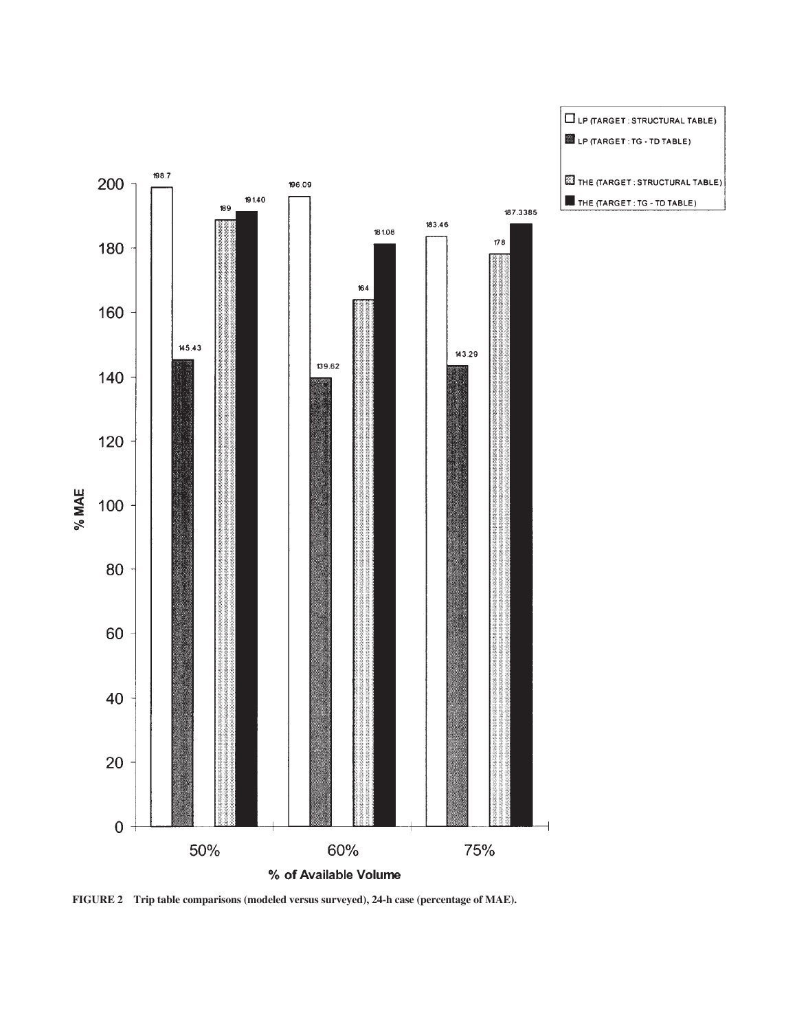

**FIGURE 2 Trip table comparisons (modeled versus surveyed), 24-h case (percentage of MAE).**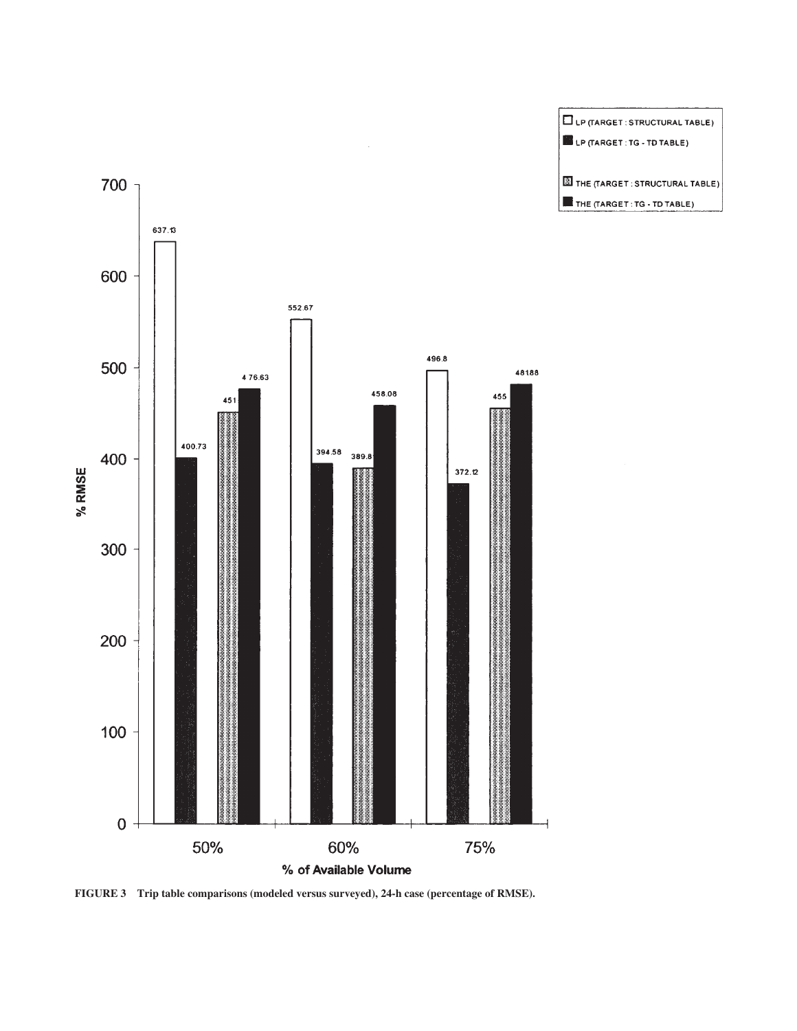



**FIGURE 3 Trip table comparisons (modeled versus surveyed), 24-h case (percentage of RMSE).**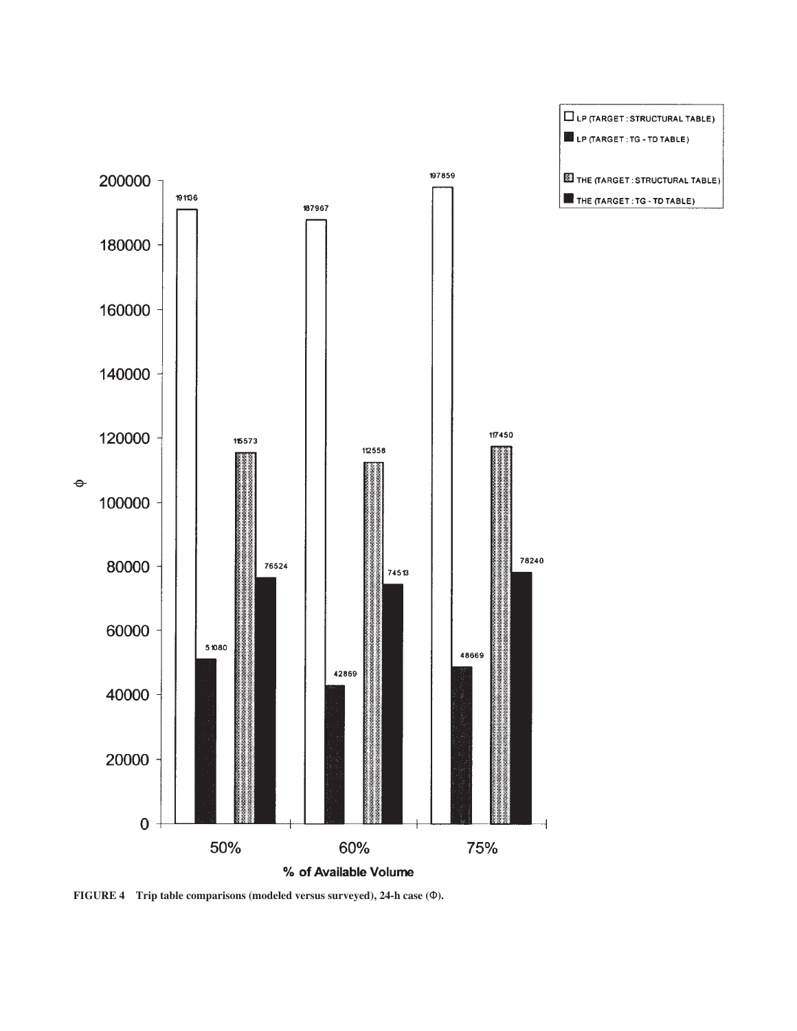

**FIGURE 4 Trip table comparisons (modeled versus surveyed), 24-h case (**Φ**).**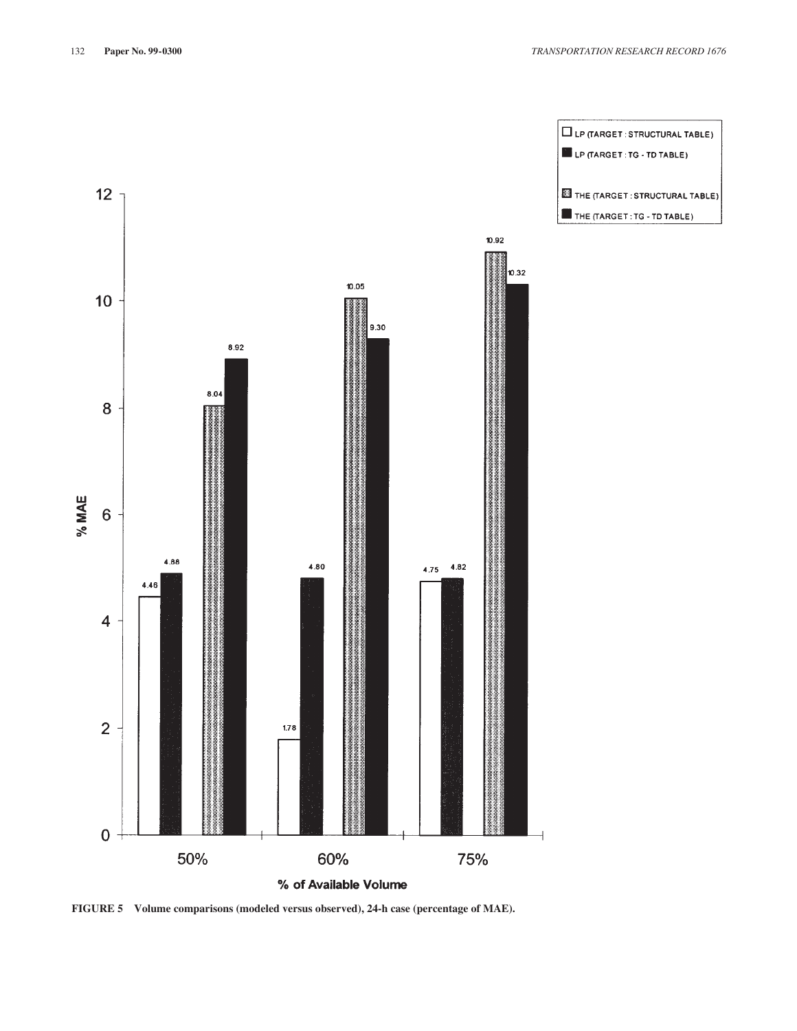

**FIGURE 5 Volume comparisons (modeled versus observed), 24-h case (percentage of MAE).**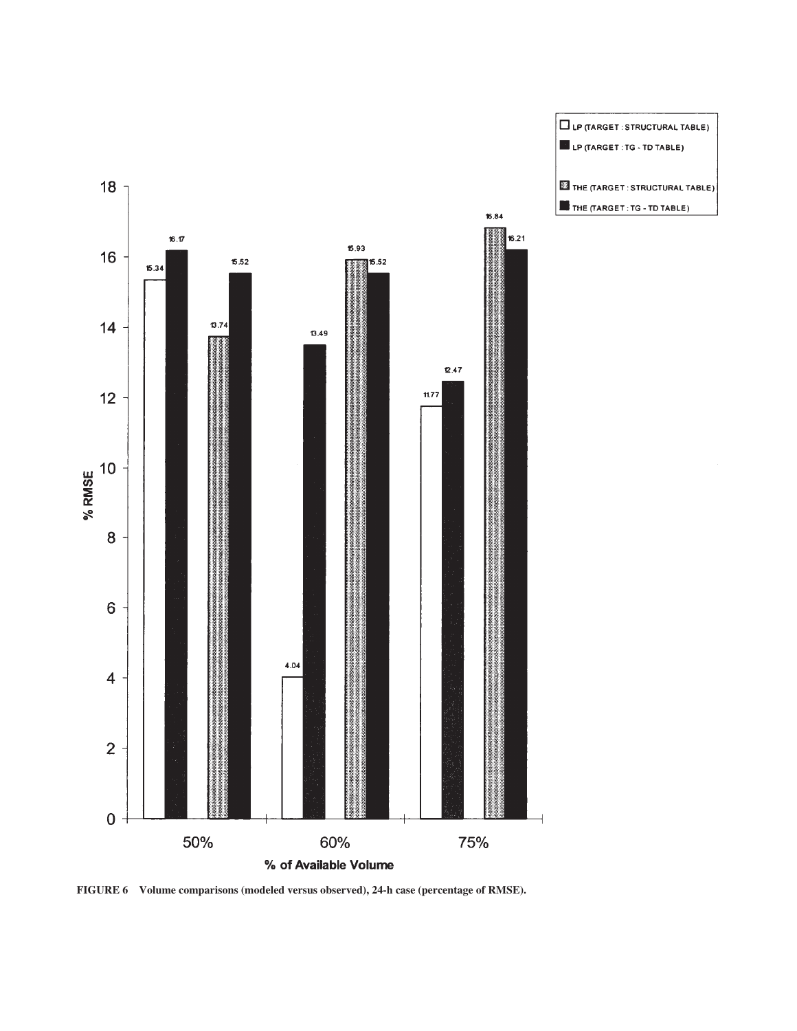

**FIGURE 6 Volume comparisons (modeled versus observed), 24-h case (percentage of RMSE).**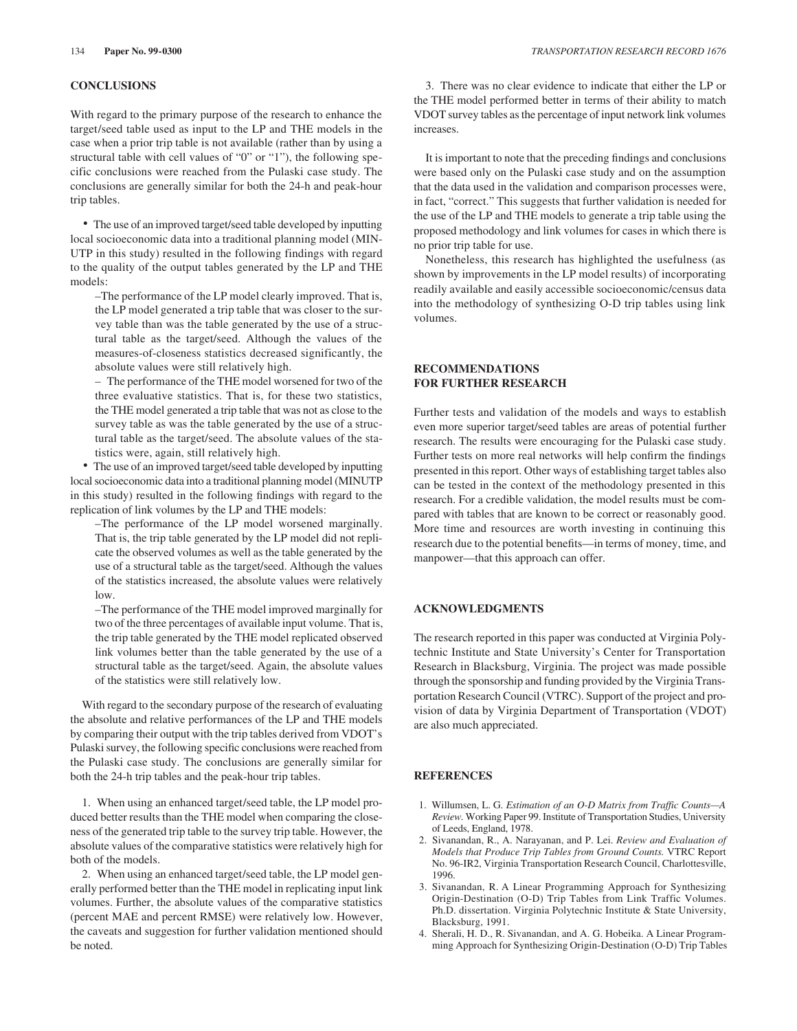# **CONCLUSIONS**

With regard to the primary purpose of the research to enhance the target/seed table used as input to the LP and THE models in the case when a prior trip table is not available (rather than by using a structural table with cell values of "0" or "1"), the following specific conclusions were reached from the Pulaski case study. The conclusions are generally similar for both the 24-h and peak-hour trip tables.

• The use of an improved target/seed table developed by inputting local socioeconomic data into a traditional planning model (MIN-UTP in this study) resulted in the following findings with regard to the quality of the output tables generated by the LP and THE models:

–The performance of the LP model clearly improved. That is, the LP model generated a trip table that was closer to the survey table than was the table generated by the use of a structural table as the target/seed. Although the values of the measures-of-closeness statistics decreased significantly, the absolute values were still relatively high.

– The performance of the THE model worsened for two of the three evaluative statistics. That is, for these two statistics, the THE model generated a trip table that was not as close to the survey table as was the table generated by the use of a structural table as the target/seed. The absolute values of the statistics were, again, still relatively high.

• The use of an improved target/seed table developed by inputting local socioeconomic data into a traditional planning model (MINUTP in this study) resulted in the following findings with regard to the replication of link volumes by the LP and THE models:

–The performance of the LP model worsened marginally. That is, the trip table generated by the LP model did not replicate the observed volumes as well as the table generated by the use of a structural table as the target/seed. Although the values of the statistics increased, the absolute values were relatively low.

–The performance of the THE model improved marginally for two of the three percentages of available input volume. That is, the trip table generated by the THE model replicated observed link volumes better than the table generated by the use of a structural table as the target/seed. Again, the absolute values of the statistics were still relatively low.

With regard to the secondary purpose of the research of evaluating the absolute and relative performances of the LP and THE models by comparing their output with the trip tables derived from VDOT's Pulaski survey, the following specific conclusions were reached from the Pulaski case study. The conclusions are generally similar for both the 24-h trip tables and the peak-hour trip tables.

1. When using an enhanced target/seed table, the LP model produced better results than the THE model when comparing the closeness of the generated trip table to the survey trip table. However, the absolute values of the comparative statistics were relatively high for both of the models.

2. When using an enhanced target/seed table, the LP model generally performed better than the THE model in replicating input link volumes. Further, the absolute values of the comparative statistics (percent MAE and percent RMSE) were relatively low. However, the caveats and suggestion for further validation mentioned should be noted.

3. There was no clear evidence to indicate that either the LP or the THE model performed better in terms of their ability to match VDOT survey tables as the percentage of input network link volumes increases.

It is important to note that the preceding findings and conclusions were based only on the Pulaski case study and on the assumption that the data used in the validation and comparison processes were, in fact, "correct." This suggests that further validation is needed for the use of the LP and THE models to generate a trip table using the proposed methodology and link volumes for cases in which there is no prior trip table for use.

Nonetheless, this research has highlighted the usefulness (as shown by improvements in the LP model results) of incorporating readily available and easily accessible socioeconomic/census data into the methodology of synthesizing O-D trip tables using link volumes.

# **RECOMMENDATIONS FOR FURTHER RESEARCH**

Further tests and validation of the models and ways to establish even more superior target/seed tables are areas of potential further research. The results were encouraging for the Pulaski case study. Further tests on more real networks will help confirm the findings presented in this report. Other ways of establishing target tables also can be tested in the context of the methodology presented in this research. For a credible validation, the model results must be compared with tables that are known to be correct or reasonably good. More time and resources are worth investing in continuing this research due to the potential benefits—in terms of money, time, and manpower—that this approach can offer.

# **ACKNOWLEDGMENTS**

The research reported in this paper was conducted at Virginia Polytechnic Institute and State University's Center for Transportation Research in Blacksburg, Virginia. The project was made possible through the sponsorship and funding provided by the Virginia Transportation Research Council (VTRC). Support of the project and provision of data by Virginia Department of Transportation (VDOT) are also much appreciated.

#### **REFERENCES**

- 1. Willumsen, L. G. *Estimation of an O-D Matrix from Traffic Counts—A Review.* Working Paper 99. Institute of Transportation Studies, University of Leeds, England, 1978.
- 2. Sivanandan, R., A. Narayanan, and P. Lei. *Review and Evaluation of Models that Produce Trip Tables from Ground Counts.* VTRC Report No. 96-IR2, Virginia Transportation Research Council, Charlottesville, 1996.
- 3. Sivanandan, R. A Linear Programming Approach for Synthesizing Origin-Destination (O-D) Trip Tables from Link Traffic Volumes. Ph.D. dissertation. Virginia Polytechnic Institute & State University, Blacksburg, 1991.
- 4. Sherali, H. D., R. Sivanandan, and A. G. Hobeika. A Linear Programming Approach for Synthesizing Origin-Destination (O-D) Trip Tables